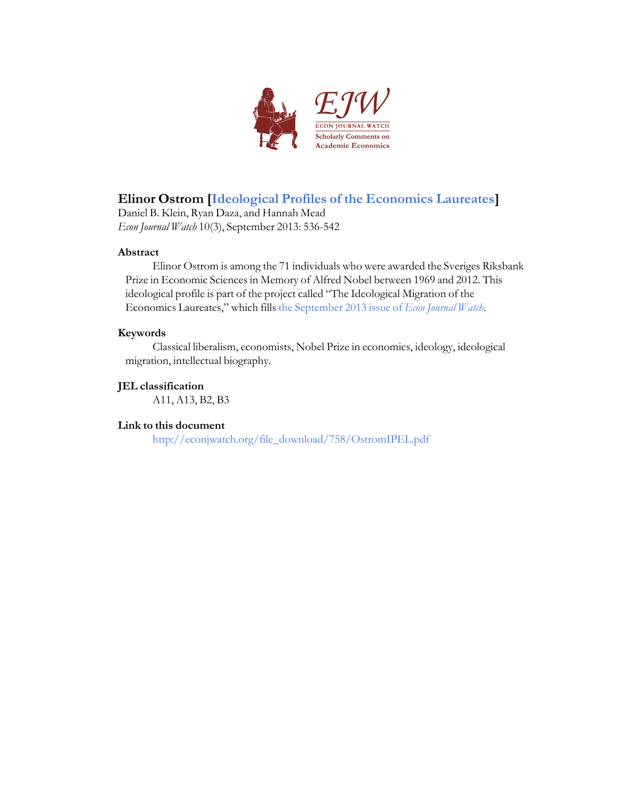

## **Elinor Ostrom [Ideological Profiles of the [Economics](http://econjwatch.org/articles/ideological-profiles-of-the-economics-laureates) Laureates]**

Daniel B. Klein, Ryan Daza, and Hannah Mead *Econ Journal Watch* 10(3), September 2013: 536-542

### **Abstract**

Elinor Ostrom is among the 71 individuals who were awarded the Sveriges Riksbank Prize in Economic Sciences in Memory of Alfred Nobel between 1969 and 2012. This ideological profile is part of the project called "The Ideological Migration of the Economics Laureates," which fills the [September](http://econjwatch.org/issues/volume-10-issue-3-september-2013) 2013 issue of *Econ Journal Watch*.

### **Keywords**

Classical liberalism, economists, Nobel Prize in economics, ideology, ideological migration, intellectual biography.

### **JEL classification**

A11, A13, B2, B3

## **Link to this document**

[http://econjwatch.org/file\\_download/758/OstromIPEL.pdf](http://econjwatch.org/file_download/758/OstromIPEL.pdf)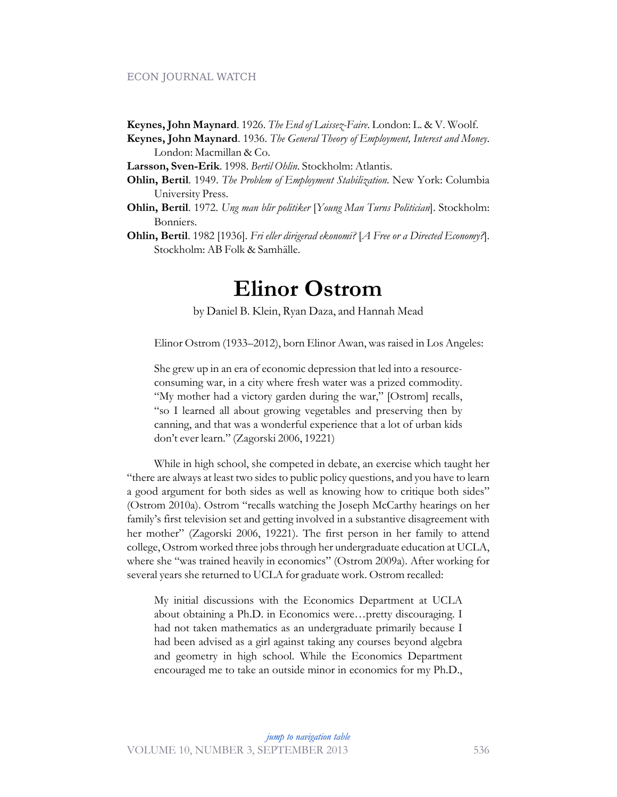### ECON JOURNAL WATCH

- **Keynes, John Maynard**. 1926. *The End of Laissez-Faire*. London: L. & V. Woolf.
- **Keynes, John Maynard**. 1936. *The General Theory of Employment, Interest and Money*. London: Macmillan & Co.

**Larsson, Sven-Erik**. 1998. *Bertil Ohlin*. Stockholm: Atlantis.

- **Ohlin, Bertil**. 1949. *The Problem of Employment Stabilization*. New York: Columbia University Press.
- **Ohlin, Bertil**. 1972. *Ung man blir politiker* [*Young Man Turns Politician*]. Stockholm: Bonniers.
- **Ohlin, Bertil**. 1982 [1936]. *Fri eller dirigerad ekonomi?* [*A Free or a Directed Economy?*]. Stockholm: AB Folk & Samhälle.

# **Elinor Ostrom**

by Daniel B. Klein, Ryan Daza, and Hannah Mead

Elinor Ostrom (1933–2012), born Elinor Awan, was raised in Los Angeles:

She grew up in an era of economic depression that led into a resourceconsuming war, in a city where fresh water was a prized commodity. "My mother had a victory garden during the war," [Ostrom] recalls, "so I learned all about growing vegetables and preserving then by canning, and that was a wonderful experience that a lot of urban kids don't ever learn." (Zagorski 2006, 19221)

While in high school, she competed in debate, an exercise which taught her "there are always at least two sides to public policy questions, and you have to learn a good argument for both sides as well as knowing how to critique both sides" (Ostrom 2010a). Ostrom "recalls watching the Joseph McCarthy hearings on her family's first television set and getting involved in a substantive disagreement with her mother" (Zagorski 2006, 19221). The first person in her family to attend college, Ostrom worked three jobs through her undergraduate education at UCLA, where she "was trained heavily in economics" (Ostrom 2009a). After working for several years she returned to UCLA for graduate work. Ostrom recalled:

My initial discussions with the Economics Department at UCLA about obtaining a Ph.D. in Economics were…pretty discouraging. I had not taken mathematics as an undergraduate primarily because I had been advised as a girl against taking any courses beyond algebra and geometry in high school. While the Economics Department encouraged me to take an outside minor in economics for my Ph.D.,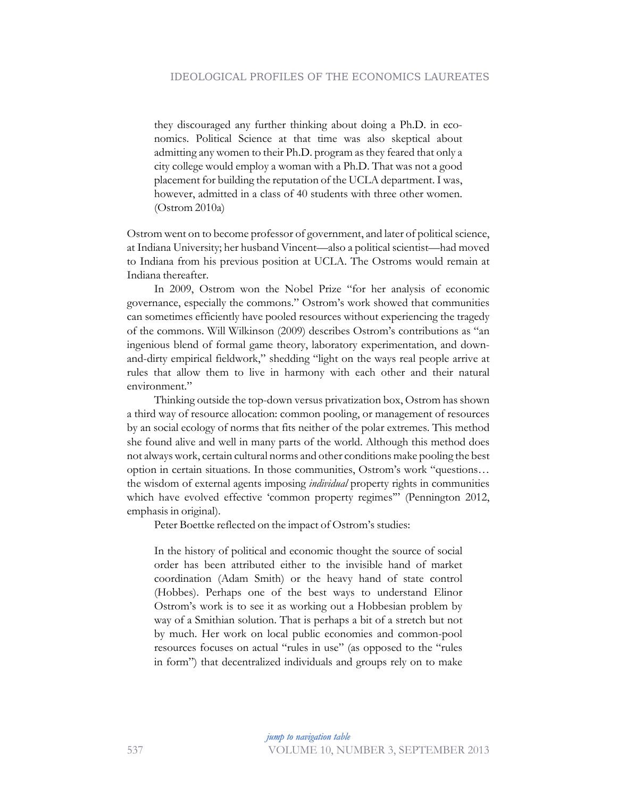they discouraged any further thinking about doing a Ph.D. in economics. Political Science at that time was also skeptical about admitting any women to their Ph.D. program as they feared that only a city college would employ a woman with a Ph.D. That was not a good placement for building the reputation of the UCLA department. I was, however, admitted in a class of 40 students with three other women. (Ostrom 2010a)

Ostrom went on to become professor of government, and later of political science, at Indiana University; her husband Vincent—also a political scientist—had moved to Indiana from his previous position at UCLA. The Ostroms would remain at Indiana thereafter.

In 2009, Ostrom won the Nobel Prize "for her analysis of economic governance, especially the commons." Ostrom's work showed that communities can sometimes efficiently have pooled resources without experiencing the tragedy of the commons. Will Wilkinson (2009) describes Ostrom's contributions as "an ingenious blend of formal game theory, laboratory experimentation, and downand-dirty empirical fieldwork," shedding "light on the ways real people arrive at rules that allow them to live in harmony with each other and their natural environment."

Thinking outside the top-down versus privatization box, Ostrom has shown a third way of resource allocation: common pooling, or management of resources by an social ecology of norms that fits neither of the polar extremes. This method she found alive and well in many parts of the world. Although this method does not always work, certain cultural norms and other conditions make pooling the best option in certain situations. In those communities, Ostrom's work "questions… the wisdom of external agents imposing *individual* property rights in communities which have evolved effective 'common property regimes'" (Pennington 2012, emphasis in original).

Peter Boettke reflected on the impact of Ostrom's studies:

In the history of political and economic thought the source of social order has been attributed either to the invisible hand of market coordination (Adam Smith) or the heavy hand of state control (Hobbes). Perhaps one of the best ways to understand Elinor Ostrom's work is to see it as working out a Hobbesian problem by way of a Smithian solution. That is perhaps a bit of a stretch but not by much. Her work on local public economies and common-pool resources focuses on actual "rules in use" (as opposed to the "rules in form") that decentralized individuals and groups rely on to make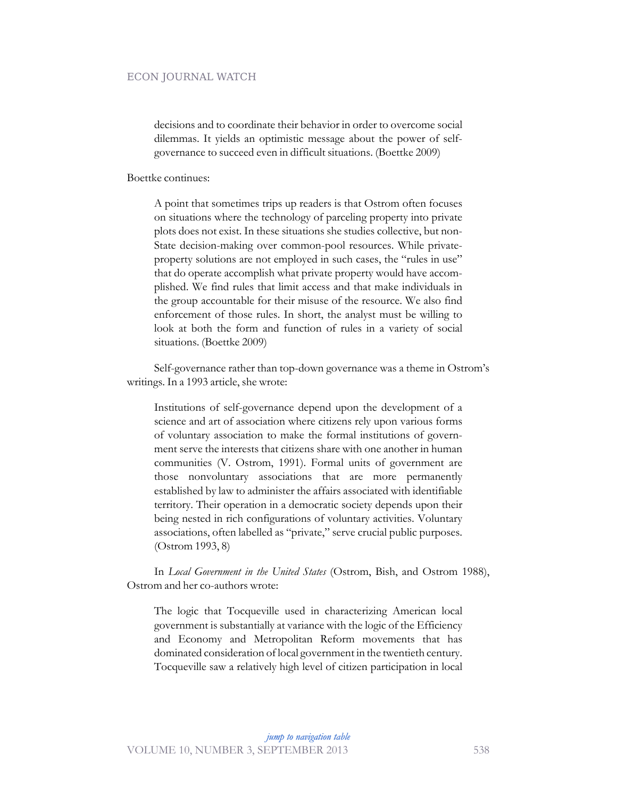#### ECON JOURNAL WATCH

decisions and to coordinate their behavior in order to overcome social dilemmas. It yields an optimistic message about the power of selfgovernance to succeed even in difficult situations. (Boettke 2009)

Boettke continues:

A point that sometimes trips up readers is that Ostrom often focuses on situations where the technology of parceling property into private plots does not exist. In these situations she studies collective, but non-State decision-making over common-pool resources. While privateproperty solutions are not employed in such cases, the "rules in use" that do operate accomplish what private property would have accomplished. We find rules that limit access and that make individuals in the group accountable for their misuse of the resource. We also find enforcement of those rules. In short, the analyst must be willing to look at both the form and function of rules in a variety of social situations. (Boettke 2009)

Self-governance rather than top-down governance was a theme in Ostrom's writings. In a 1993 article, she wrote:

Institutions of self-governance depend upon the development of a science and art of association where citizens rely upon various forms of voluntary association to make the formal institutions of government serve the interests that citizens share with one another in human communities (V. Ostrom, 1991). Formal units of government are those nonvoluntary associations that are more permanently established by law to administer the affairs associated with identifiable territory. Their operation in a democratic society depends upon their being nested in rich configurations of voluntary activities. Voluntary associations, often labelled as "private," serve crucial public purposes. (Ostrom 1993, 8)

In *Local Government in the United States* (Ostrom, Bish, and Ostrom 1988), Ostrom and her co-authors wrote:

The logic that Tocqueville used in characterizing American local government is substantially at variance with the logic of the Efficiency and Economy and Metropolitan Reform movements that has dominated consideration of local government in the twentieth century. Tocqueville saw a relatively high level of citizen participation in local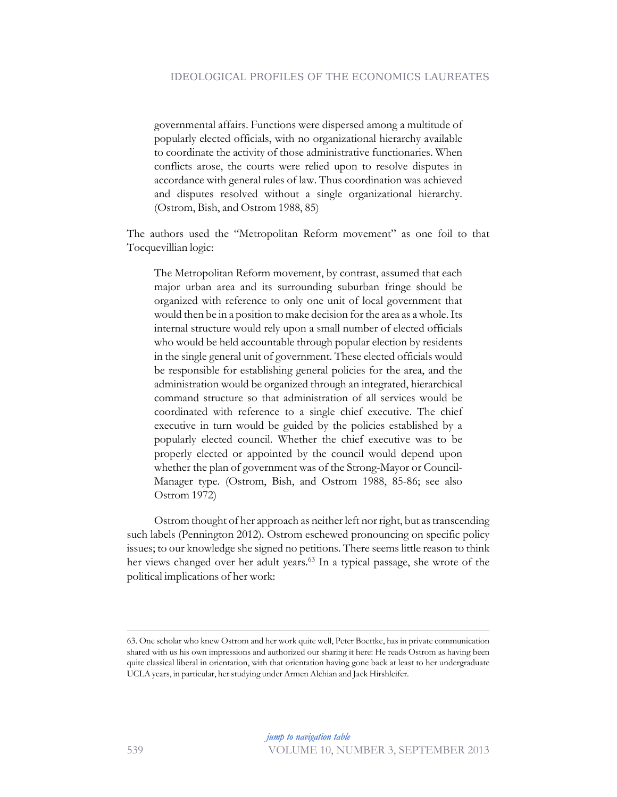governmental affairs. Functions were dispersed among a multitude of popularly elected officials, with no organizational hierarchy available to coordinate the activity of those administrative functionaries. When conflicts arose, the courts were relied upon to resolve disputes in accordance with general rules of law. Thus coordination was achieved and disputes resolved without a single organizational hierarchy. (Ostrom, Bish, and Ostrom 1988, 85)

The authors used the "Metropolitan Reform movement" as one foil to that Tocquevillian logic:

The Metropolitan Reform movement, by contrast, assumed that each major urban area and its surrounding suburban fringe should be organized with reference to only one unit of local government that would then be in a position to make decision for the area as a whole. Its internal structure would rely upon a small number of elected officials who would be held accountable through popular election by residents in the single general unit of government. These elected officials would be responsible for establishing general policies for the area, and the administration would be organized through an integrated, hierarchical command structure so that administration of all services would be coordinated with reference to a single chief executive. The chief executive in turn would be guided by the policies established by a popularly elected council. Whether the chief executive was to be properly elected or appointed by the council would depend upon whether the plan of government was of the Strong-Mayor or Council-Manager type. (Ostrom, Bish, and Ostrom 1988, 85-86; see also Ostrom 1972)

Ostrom thought of her approach as neither left nor right, but as transcending such labels (Pennington 2012). Ostrom eschewed pronouncing on specific policy issues; to our knowledge she signed no petitions. There seems little reason to think her views changed over her adult years.<sup>63</sup> In a typical passage, she wrote of the political implications of her work:

<sup>63.</sup> One scholar who knew Ostrom and her work quite well, Peter Boettke, has in private communication shared with us his own impressions and authorized our sharing it here: He reads Ostrom as having been quite classical liberal in orientation, with that orientation having gone back at least to her undergraduate UCLA years, in particular, her studying under Armen Alchian and Jack Hirshleifer.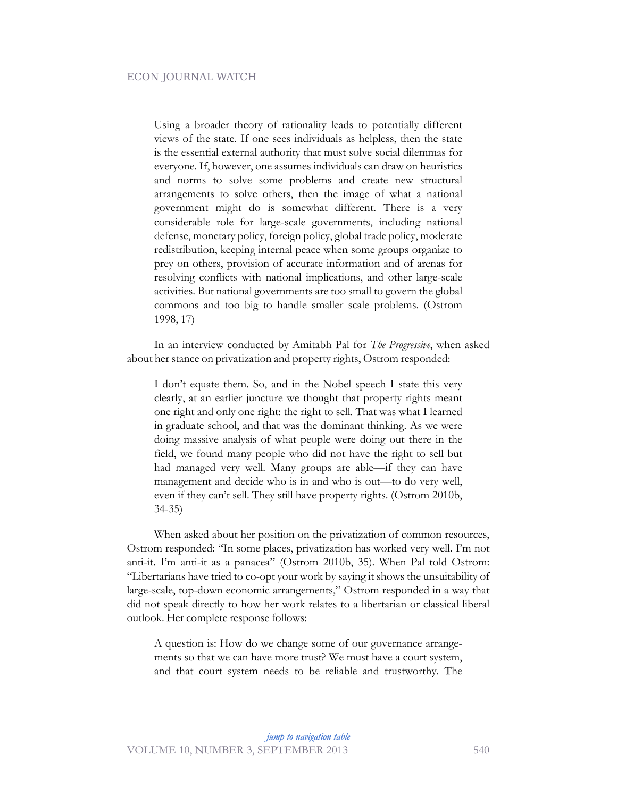Using a broader theory of rationality leads to potentially different views of the state. If one sees individuals as helpless, then the state is the essential external authority that must solve social dilemmas for everyone. If, however, one assumes individuals can draw on heuristics and norms to solve some problems and create new structural arrangements to solve others, then the image of what a national government might do is somewhat different. There is a very considerable role for large-scale governments, including national defense, monetary policy, foreign policy, global trade policy, moderate redistribution, keeping internal peace when some groups organize to prey on others, provision of accurate information and of arenas for resolving conflicts with national implications, and other large-scale activities. But national governments are too small to govern the global commons and too big to handle smaller scale problems. (Ostrom 1998, 17)

In an interview conducted by Amitabh Pal for *The Progressive*, when asked about her stance on privatization and property rights, Ostrom responded:

I don't equate them. So, and in the Nobel speech I state this very clearly, at an earlier juncture we thought that property rights meant one right and only one right: the right to sell. That was what I learned in graduate school, and that was the dominant thinking. As we were doing massive analysis of what people were doing out there in the field, we found many people who did not have the right to sell but had managed very well. Many groups are able—if they can have management and decide who is in and who is out—to do very well, even if they can't sell. They still have property rights. (Ostrom 2010b, 34-35)

When asked about her position on the privatization of common resources, Ostrom responded: "In some places, privatization has worked very well. I'm not anti-it. I'm anti-it as a panacea" (Ostrom 2010b, 35). When Pal told Ostrom: "Libertarians have tried to co-opt your work by saying it shows the unsuitability of large-scale, top-down economic arrangements," Ostrom responded in a way that did not speak directly to how her work relates to a libertarian or classical liberal outlook. Her complete response follows:

A question is: How do we change some of our governance arrangements so that we can have more trust? We must have a court system, and that court system needs to be reliable and trustworthy. The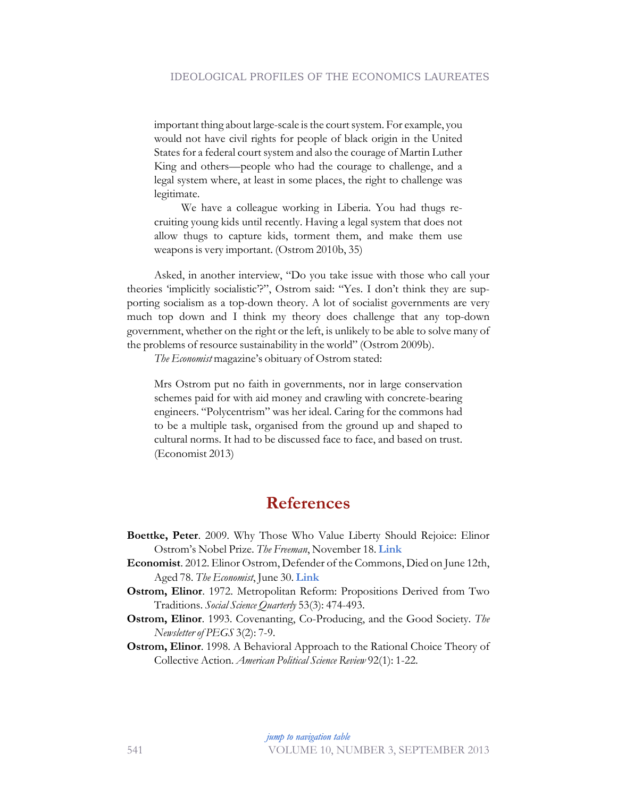important thing about large-scale is the court system. For example, you would not have civil rights for people of black origin in the United States for a federal court system and also the courage of Martin Luther King and others—people who had the courage to challenge, and a legal system where, at least in some places, the right to challenge was legitimate.

We have a colleague working in Liberia. You had thugs recruiting young kids until recently. Having a legal system that does not allow thugs to capture kids, torment them, and make them use weapons is very important. (Ostrom 2010b, 35)

Asked, in another interview, "Do you take issue with those who call your theories 'implicitly socialistic'?", Ostrom said: "Yes. I don't think they are supporting socialism as a top-down theory. A lot of socialist governments are very much top down and I think my theory does challenge that any top-down government, whether on the right or the left, is unlikely to be able to solve many of the problems of resource sustainability in the world" (Ostrom 2009b).

*The Economist* magazine's obituary of Ostrom stated:

Mrs Ostrom put no faith in governments, nor in large conservation schemes paid for with aid money and crawling with concrete-bearing engineers. "Polycentrism" was her ideal. Caring for the commons had to be a multiple task, organised from the ground up and shaped to cultural norms. It had to be discussed face to face, and based on trust. (Economist 2013)

# **References**

- **Boettke, Peter**. 2009. Why Those Who Value Liberty Should Rejoice: Elinor Ostrom's Nobel Prize. *The Freeman*, November 18. **[Link](http://www.fee.org/the_freeman/detail/why-those-who-value-liberty-should-rejoice-elinor-ostroms-nobel-prize)**
- **Economist**. 2012. Elinor Ostrom, Defender of the Commons, Died on June 12th, Aged 78. *The Economist*, June 30. **[Link](http://www.economist.com/node/21557717)**
- **Ostrom, Elinor**. 1972. Metropolitan Reform: Propositions Derived from Two Traditions. *Social Science Quarterly* 53(3): 474-493.
- **Ostrom, Elinor**. 1993. Covenanting, Co-Producing, and the Good Society. *The Newsletter of PEGS* 3(2): 7-9.
- **Ostrom, Elinor**. 1998. A Behavioral Approach to the Rational Choice Theory of Collective Action. *American Political Science Review* 92(1): 1-22.